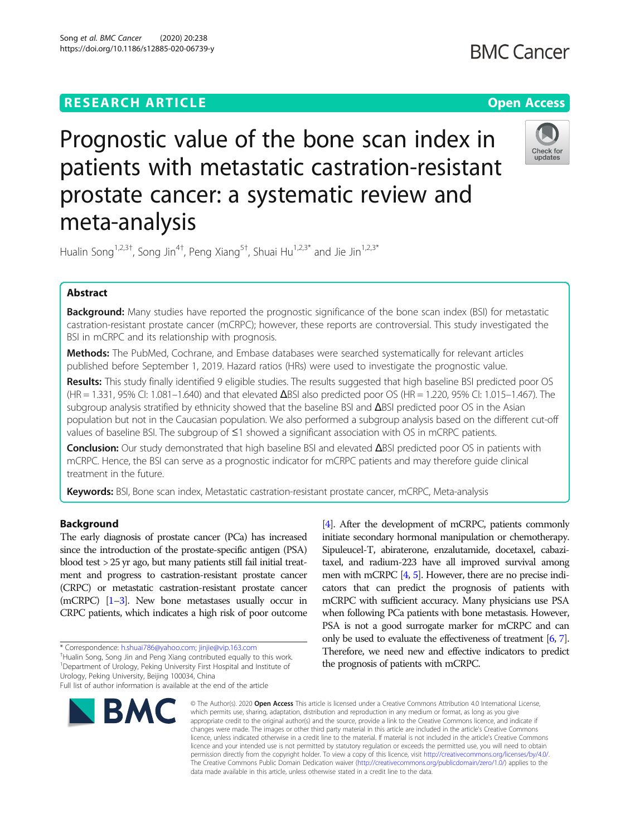# **RESEARCH ARTICLE Example 2014 12:30 The Contract of Contract ACCESS**

# **BMC Cancer**

# Prognostic value of the bone scan index in patients with metastatic castration-resistant prostate cancer: a systematic review and meta-analysis



Hualin Song<sup>1,2,3†</sup>, Song Jin<sup>4†</sup>, Peng Xiang<sup>5†</sup>, Shuai Hu<sup>1,2,3\*</sup> and Jie Jin<sup>1,2,3\*</sup>

# Abstract

Background: Many studies have reported the prognostic significance of the bone scan index (BSI) for metastatic castration-resistant prostate cancer (mCRPC); however, these reports are controversial. This study investigated the BSI in mCRPC and its relationship with prognosis.

Methods: The PubMed, Cochrane, and Embase databases were searched systematically for relevant articles published before September 1, 2019. Hazard ratios (HRs) were used to investigate the prognostic value.

Results: This study finally identified 9 eligible studies. The results suggested that high baseline BSI predicted poor OS (HR = 1.331, 95% CI: 1.081–1.640) and that elevated ΔBSI also predicted poor OS (HR = 1.220, 95% CI: 1.015–1.467). The subgroup analysis stratified by ethnicity showed that the baseline BSI and ΔBSI predicted poor OS in the Asian population but not in the Caucasian population. We also performed a subgroup analysis based on the different cut-off values of baseline BSI. The subgroup of ≤1 showed a significant association with OS in mCRPC patients.

Conclusion: Our study demonstrated that high baseline BSI and elevated ΔBSI predicted poor OS in patients with mCRPC. Hence, the BSI can serve as a prognostic indicator for mCRPC patients and may therefore guide clinical treatment in the future.

Keywords: BSI, Bone scan index, Metastatic castration-resistant prostate cancer, mCRPC, Meta-analysis

# Background

The early diagnosis of prostate cancer (PCa) has increased since the introduction of the prostate-specific antigen (PSA) blood test > 25 yr ago, but many patients still fail initial treatment and progress to castration-resistant prostate cancer (CRPC) or metastatic castration-resistant prostate cancer (mCRPC) [\[1](#page-5-0)–[3\]](#page-5-0). New bone metastases usually occur in CRPC patients, which indicates a high risk of poor outcome

\* Correspondence: [h.shuai786@yahoo.com;](mailto:h.shuai786@yahoo.com) [jinjie@vip.163.com](mailto:jinjie@vip.163.com) †

<sup>+</sup>Hualin Song, Song Jin and Peng Xiang contributed equally to this work. <sup>1</sup>Department of Urology, Peking University First Hospital and Institute of Urology, Peking University, Beijing 100034, China

initiate secondary hormonal manipulation or chemotherapy. Sipuleucel-T, abiraterone, enzalutamide, docetaxel, cabazitaxel, and radium-223 have all improved survival among men with mCRPC [\[4,](#page-5-0) [5](#page-5-0)]. However, there are no precise indicators that can predict the prognosis of patients with mCRPC with sufficient accuracy. Many physicians use PSA when following PCa patients with bone metastasis. However, PSA is not a good surrogate marker for mCRPC and can only be used to evaluate the effectiveness of treatment [\[6](#page-5-0), [7\]](#page-5-0). Therefore, we need new and effective indicators to predict the prognosis of patients with mCRPC.

[[4](#page-5-0)]. After the development of mCRPC, patients commonly



© The Author(s), 2020 **Open Access** This article is licensed under a Creative Commons Attribution 4.0 International License, which permits use, sharing, adaptation, distribution and reproduction in any medium or format, as long as you give appropriate credit to the original author(s) and the source, provide a link to the Creative Commons licence, and indicate if changes were made. The images or other third party material in this article are included in the article's Creative Commons licence, unless indicated otherwise in a credit line to the material. If material is not included in the article's Creative Commons licence and your intended use is not permitted by statutory regulation or exceeds the permitted use, you will need to obtain permission directly from the copyright holder. To view a copy of this licence, visit [http://creativecommons.org/licenses/by/4.0/.](http://creativecommons.org/licenses/by/4.0/) The Creative Commons Public Domain Dedication waiver [\(http://creativecommons.org/publicdomain/zero/1.0/](http://creativecommons.org/publicdomain/zero/1.0/)) applies to the data made available in this article, unless otherwise stated in a credit line to the data.

Full list of author information is available at the end of the article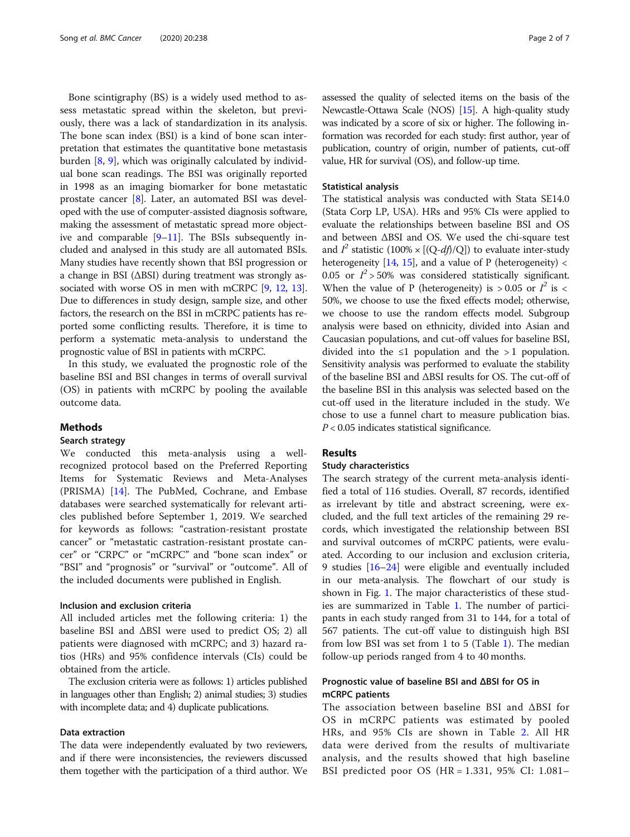Bone scintigraphy (BS) is a widely used method to assess metastatic spread within the skeleton, but previously, there was a lack of standardization in its analysis. The bone scan index (BSI) is a kind of bone scan interpretation that estimates the quantitative bone metastasis burden [\[8](#page-6-0), [9](#page-6-0)], which was originally calculated by individual bone scan readings. The BSI was originally reported in 1998 as an imaging biomarker for bone metastatic prostate cancer [\[8\]](#page-6-0). Later, an automated BSI was developed with the use of computer-assisted diagnosis software, making the assessment of metastatic spread more objective and comparable [[9](#page-6-0)–[11](#page-6-0)]. The BSIs subsequently included and analysed in this study are all automated BSIs. Many studies have recently shown that BSI progression or a change in BSI (ΔBSI) during treatment was strongly associated with worse OS in men with mCRPC [[9,](#page-6-0) [12](#page-6-0), [13](#page-6-0)]. Due to differences in study design, sample size, and other factors, the research on the BSI in mCRPC patients has reported some conflicting results. Therefore, it is time to perform a systematic meta-analysis to understand the prognostic value of BSI in patients with mCRPC.

In this study, we evaluated the prognostic role of the baseline BSI and BSI changes in terms of overall survival (OS) in patients with mCRPC by pooling the available outcome data.

### Methods

# Search strategy

We conducted this meta-analysis using a wellrecognized protocol based on the Preferred Reporting Items for Systematic Reviews and Meta-Analyses (PRISMA) [\[14](#page-6-0)]. The PubMed, Cochrane, and Embase databases were searched systematically for relevant articles published before September 1, 2019. We searched for keywords as follows: "castration-resistant prostate cancer" or "metastatic castration-resistant prostate cancer" or "CRPC" or "mCRPC" and "bone scan index" or "BSI" and "prognosis" or "survival" or "outcome". All of the included documents were published in English.

# Inclusion and exclusion criteria

All included articles met the following criteria: 1) the baseline BSI and  $\Delta$ BSI were used to predict OS; 2) all patients were diagnosed with mCRPC; and 3) hazard ratios (HRs) and 95% confidence intervals (CIs) could be obtained from the article.

The exclusion criteria were as follows: 1) articles published in languages other than English; 2) animal studies; 3) studies with incomplete data; and 4) duplicate publications.

#### Data extraction

The data were independently evaluated by two reviewers, and if there were inconsistencies, the reviewers discussed them together with the participation of a third author. We assessed the quality of selected items on the basis of the Newcastle-Ottawa Scale (NOS) [\[15\]](#page-6-0). A high-quality study was indicated by a score of six or higher. The following information was recorded for each study: first author, year of publication, country of origin, number of patients, cut-off value, HR for survival (OS), and follow-up time.

#### Statistical analysis

The statistical analysis was conducted with Stata SE14.0 (Stata Corp LP, USA). HRs and 95% CIs were applied to evaluate the relationships between baseline BSI and OS and between ΔBSI and OS. We used the chi-square test and  $I^2$  statistic (100% × [(Q-df)/Q]) to evaluate inter-study heterogeneity  $[14, 15]$  $[14, 15]$  $[14, 15]$ , and a value of P (heterogeneity) < 0.05 or  $I^2$  > 50% was considered statistically significant. When the value of P (heterogeneity) is  $> 0.05$  or  $I^2$  is < 50%, we choose to use the fixed effects model; otherwise, we choose to use the random effects model. Subgroup analysis were based on ethnicity, divided into Asian and Caucasian populations, and cut-off values for baseline BSI, divided into the ≤1 population and the > 1 population. Sensitivity analysis was performed to evaluate the stability of the baseline BSI and ΔBSI results for OS. The cut-off of the baseline BSI in this analysis was selected based on the cut-off used in the literature included in the study. We chose to use a funnel chart to measure publication bias.  $P < 0.05$  indicates statistical significance.

# **Results**

#### Study characteristics

The search strategy of the current meta-analysis identified a total of 116 studies. Overall, 87 records, identified as irrelevant by title and abstract screening, were excluded, and the full text articles of the remaining 29 records, which investigated the relationship between BSI and survival outcomes of mCRPC patients, were evaluated. According to our inclusion and exclusion criteria, 9 studies [\[16](#page-6-0)–[24](#page-6-0)] were eligible and eventually included in our meta-analysis. The flowchart of our study is shown in Fig. [1](#page-2-0). The major characteristics of these studies are summarized in Table [1](#page-2-0). The number of participants in each study ranged from 31 to 144, for a total of 567 patients. The cut-off value to distinguish high BSI from low BSI was set from 1 to 5 (Table [1](#page-2-0)). The median follow-up periods ranged from 4 to 40 months.

# Prognostic value of baseline BSI and ΔBSI for OS in mCRPC patients

The association between baseline BSI and ΔBSI for OS in mCRPC patients was estimated by pooled HRs, and 95% CIs are shown in Table [2](#page-3-0). All HR data were derived from the results of multivariate analysis, and the results showed that high baseline BSI predicted poor OS (HR = 1.331, 95% CI: 1.081–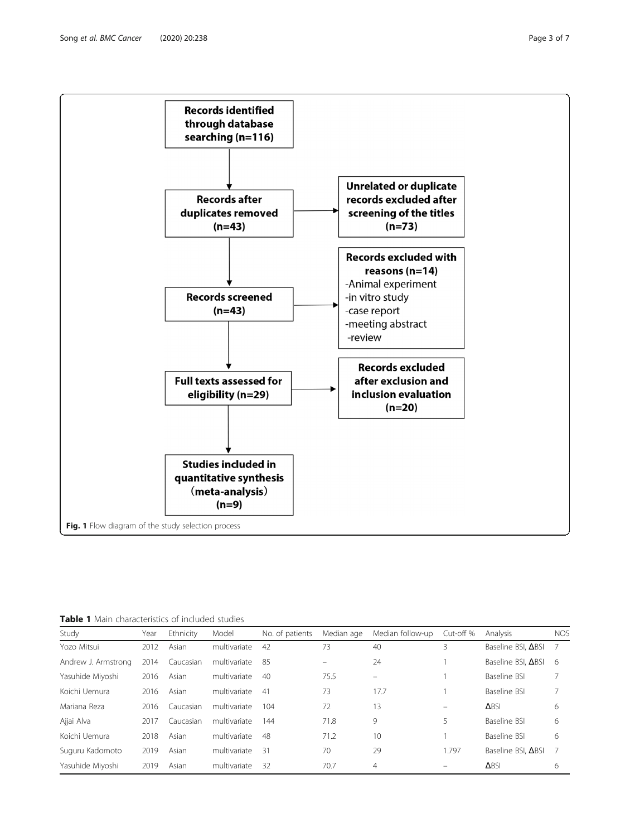<span id="page-2-0"></span>

Table 1 Main characteristics of included studies

| Study               | Year | Ethnicity | Model        | No. of patients | Median age | Median follow-up | Cut-off % | Analysis                  | <b>NOS</b> |
|---------------------|------|-----------|--------------|-----------------|------------|------------------|-----------|---------------------------|------------|
|                     |      |           |              |                 |            |                  |           |                           |            |
| Yozo Mitsui         | 2012 | Asian     | multivariate | 42              | 73         | 40               | 3         | Baseline BSI, ABSI        |            |
| Andrew J. Armstrong | 2014 | Caucasian | multivariate | 85              |            | 24               |           | Baseline BSI, <b>ABSI</b> | 6          |
| Yasuhide Miyoshi    | 2016 | Asian     | multivariate | 40              | 75.5       | L,               |           | Baseline BSI              |            |
| Koichi Uemura       | 2016 | Asian     | multivariate | 41              | 73         | 17.7             |           | Baseline BSI              |            |
| Mariana Reza        | 2016 | Caucasian | multivariate | 104             | 72         | 13               | -         | <b>ABSI</b>               | 6          |
| Ajjai Alva          | 2017 | Caucasian | multivariate | 144             | 71.8       | 9                | 5         | Baseline BSI              | 6          |
| Koichi Uemura       | 2018 | Asian     | multivariate | 48              | 71.2       | 10               |           | Baseline BSI              | 6          |
| Suguru Kadomoto     | 2019 | Asian     | multivariate | -31             | 70         | 29               | 1.797     | Baseline BSI, <b>ABSI</b> |            |
| Yasuhide Miyoshi    | 2019 | Asian     | multivariate | 32              | 70.7       | 4                | -         | <b>ABSI</b>               | 6          |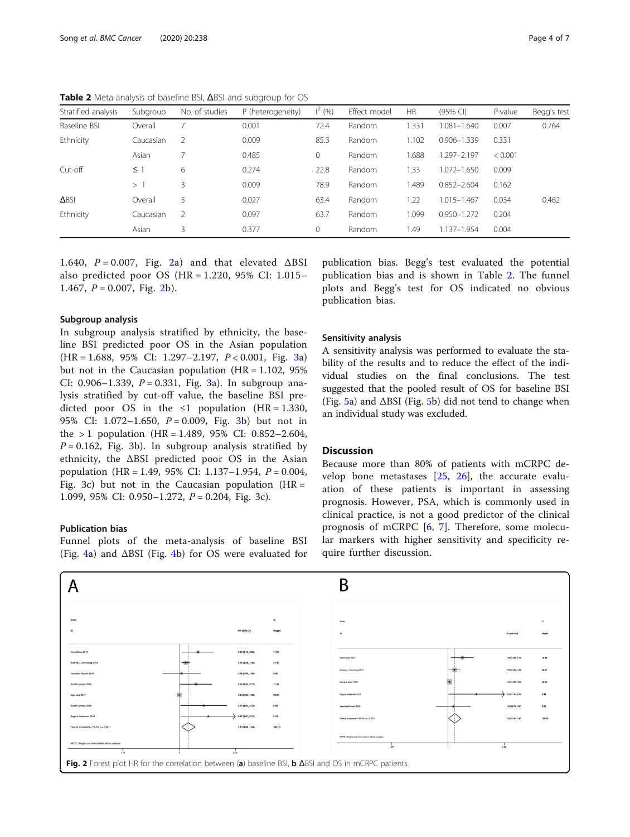<span id="page-3-0"></span>Table 2 Meta-analysis of baseline BSI, ΔBSI and subgroup for OS

| Stratified analysis | Subgroup  | No. of studies | P (heterogeneity) | $\vert^{2}$ (%) | Effect model | <b>HR</b> | (95% CI)        | $P$ -value | Begg's test |
|---------------------|-----------|----------------|-------------------|-----------------|--------------|-----------|-----------------|------------|-------------|
| Baseline BSI        | Overall   |                | 0.001             | 72.4            | Random       | 1.331     | 1.081-1.640     | 0.007      | 0.764       |
| Ethnicity           | Caucasian | 2              | 0.009             | 85.3            | Random       | 1.102     | $0.906 - 1.339$ | 0.331      |             |
|                     | Asian     |                | 0.485             | 0               | Random       | .688      | 1.297-2.197     | < 0.001    |             |
| Cut-off             | $\leq$ 1  | 6              | 0.274             | 22.8            | Random       | 1.33      | 1.072-1.650     | 0.009      |             |
|                     | >1        | 3              | 0.009             | 78.9            | Random       | 1.489     | $0.852 - 2.604$ | 0.162      |             |
| <b>ABSI</b>         | Overall   | 5              | 0.027             | 63.4            | Random       | 1.22      | 1.015-1.467     | 0.034      | 0.462       |
| Ethnicity           | Caucasian | 2              | 0.097             | 63.7            | Random       | 1.099     | $0.950 - 1.272$ | 0.204      |             |
|                     | Asian     | 3              | 0.377             | 0               | Random       | 1.49      | 1.137-1.954     | 0.004      |             |

1.640,  $P = 0.007$ , Fig. 2a) and that elevated  $\triangle BSI$ also predicted poor OS (HR = 1.220, 95% CI: 1.015– 1.467,  $P = 0.007$ , Fig. 2b).

#### Subgroup analysis

In subgroup analysis stratified by ethnicity, the baseline BSI predicted poor OS in the Asian population (HR = 1.688, 95% CI: 1.297–2.197, P < 0.001, Fig. [3a](#page-4-0)) but not in the Caucasian population  $(HR = 1.102, 95\%)$ CI: 0.906-1.[3](#page-4-0)39,  $P = 0.331$ , Fig. 3a). In subgroup analysis stratified by cut-off value, the baseline BSI predicted poor OS in the  $\leq 1$  population (HR = 1.330, 95% CI: 1.072-1.650,  $P = 0.009$ , Fig. [3](#page-4-0)b) but not in the  $> 1$  population (HR = 1.489, 95% CI: 0.852–2.604,  $P = 0.162$ , Fig. [3](#page-4-0)b). In subgroup analysis stratified by ethnicity, the ΔBSI predicted poor OS in the Asian population (HR = 1.49, 95% CI: 1.137–1.954, P = 0.004, Fig. [3c](#page-4-0)) but not in the Caucasian population  $(HR =$ 1.099, 95% CI: 0.950–1.272,  $P = 0.204$ , Fig. [3](#page-4-0)c).

## Publication bias

Funnel plots of the meta-analysis of baseline BSI (Fig. [4a](#page-4-0)) and ΔBSI (Fig. [4b](#page-4-0)) for OS were evaluated for

publication bias. Begg's test evaluated the potential publication bias and is shown in Table 2. The funnel plots and Begg's test for OS indicated no obvious publication bias.

#### Sensitivity analysis

A sensitivity analysis was performed to evaluate the stability of the results and to reduce the effect of the individual studies on the final conclusions. The test suggested that the pooled result of OS for baseline BSI (Fig. [5](#page-5-0)a) and  $\Delta$ BSI (Fig. 5b) did not tend to change when an individual study was excluded.

# **Discussion**

Because more than 80% of patients with mCRPC develop bone metastases  $[25, 26]$  $[25, 26]$  $[25, 26]$ , the accurate evaluation of these patients is important in assessing prognosis. However, PSA, which is commonly used in clinical practice, is not a good predictor of the clinical prognosis of mCRPC [\[6](#page-5-0), [7](#page-5-0)]. Therefore, some molecular markers with higher sensitivity and specificity require further discussion.

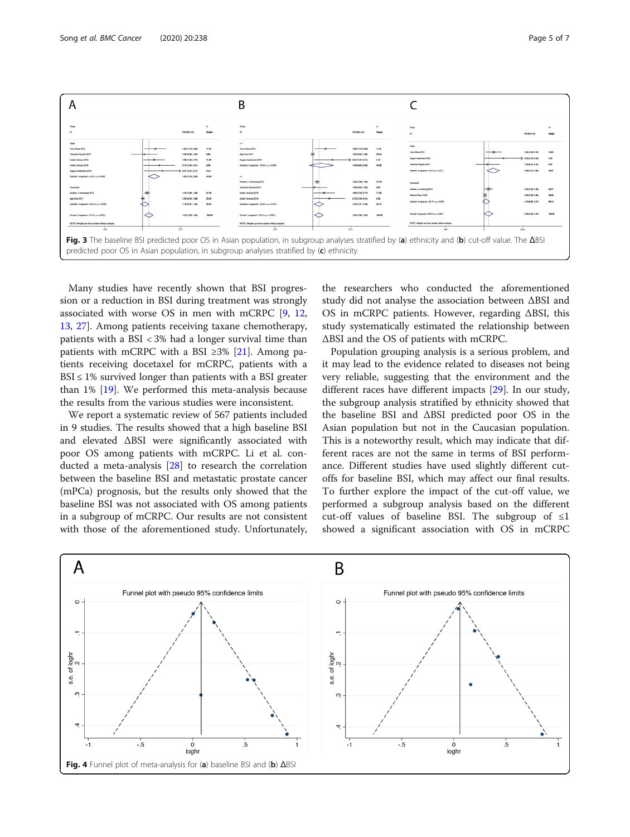<span id="page-4-0"></span>

Many studies have recently shown that BSI progression or a reduction in BSI during treatment was strongly associated with worse OS in men with mCRPC [\[9](#page-6-0), [12](#page-6-0), [13,](#page-6-0) [27\]](#page-6-0). Among patients receiving taxane chemotherapy, patients with a BSI < 3% had a longer survival time than patients with mCRPC with a BSI ≥3% [[21\]](#page-6-0). Among patients receiving docetaxel for mCRPC, patients with a  $BSI \leq 1\%$  survived longer than patients with a BSI greater than 1% [[19](#page-6-0)]. We performed this meta-analysis because the results from the various studies were inconsistent.

We report a systematic review of 567 patients included in 9 studies. The results showed that a high baseline BSI and elevated ΔBSI were significantly associated with poor OS among patients with mCRPC. Li et al. conducted a meta-analysis [\[28](#page-6-0)] to research the correlation between the baseline BSI and metastatic prostate cancer (mPCa) prognosis, but the results only showed that the baseline BSI was not associated with OS among patients in a subgroup of mCRPC. Our results are not consistent with those of the aforementioned study. Unfortunately,

the researchers who conducted the aforementioned study did not analyse the association between ΔBSI and OS in mCRPC patients. However, regarding ΔBSI, this study systematically estimated the relationship between ΔBSI and the OS of patients with mCRPC.

Population grouping analysis is a serious problem, and it may lead to the evidence related to diseases not being very reliable, suggesting that the environment and the different races have different impacts [[29\]](#page-6-0). In our study, the subgroup analysis stratified by ethnicity showed that the baseline BSI and ΔBSI predicted poor OS in the Asian population but not in the Caucasian population. This is a noteworthy result, which may indicate that different races are not the same in terms of BSI performance. Different studies have used slightly different cutoffs for baseline BSI, which may affect our final results. To further explore the impact of the cut-off value, we performed a subgroup analysis based on the different cut-off values of baseline BSI. The subgroup of  $\leq 1$ showed a significant association with OS in mCRPC

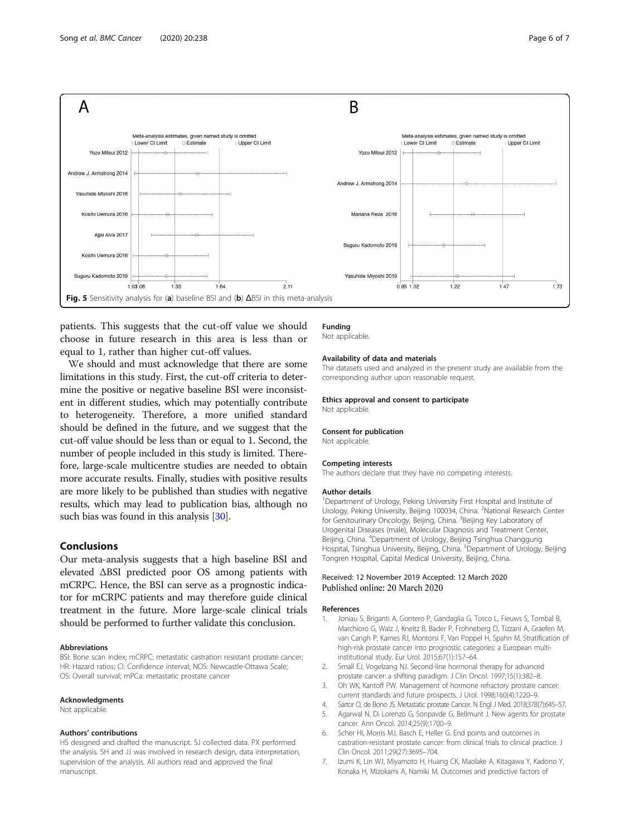<span id="page-5-0"></span>

patients. This suggests that the cut-off value we should choose in future research in this area is less than or equal to 1, rather than higher cut-off values.

We should and must acknowledge that there are some limitations in this study. First, the cut-off criteria to determine the positive or negative baseline BSI were inconsistent in different studies, which may potentially contribute to heterogeneity. Therefore, a more unified standard should be defined in the future, and we suggest that the cut-off value should be less than or equal to 1. Second, the number of people included in this study is limited. Therefore, large-scale multicentre studies are needed to obtain more accurate results. Finally, studies with positive results are more likely to be published than studies with negative results, which may lead to publication bias, although no such bias was found in this analysis [\[30\]](#page-6-0).

# Conclusions

Our meta-analysis suggests that a high baseline BSI and elevated ΔBSI predicted poor OS among patients with mCRPC. Hence, the BSI can serve as a prognostic indicator for mCRPC patients and may therefore guide clinical treatment in the future. More large-scale clinical trials should be performed to further validate this conclusion.

#### Abbreviations

BSI: Bone scan index; mCRPC: metastatic castration resistant prostate cancer; HR: Hazard ratios; CI: Confidence interval; NOS: Newcastle-Ottawa Scale; OS: Overall survival; mPCa: metastatic prostate cancer

#### Acknowledgments

Not applicable.

#### Authors' contributions

HS designed and drafted the manuscript. SJ collected data. PX performed the analysis. SH and JJ was involved in research design, data interpretation, supervision of the analysis. All authors read and approved the final manuscript.

### Funding

Not applicable.

#### Availability of data and materials

The datasets used and analyzed in the present study are available from the corresponding author upon reasonable request.

#### Ethics approval and consent to participate

Not applicable.

#### Consent for publication

Not applicable.

#### Competing interests

The authors declare that they have no competing interests.

#### Author details

<sup>1</sup>Department of Urology, Peking University First Hospital and Institute of Urology, Peking University, Beijing 100034, China. <sup>2</sup>National Research Center for Genitourinary Oncology, Beijing, China. <sup>3</sup>Beijing Key Laboratory of Urogenital Diseases (male), Molecular Diagnosis and Treatment Center, Beijing, China. <sup>4</sup>Department of Urology, Beijing Tsinghua Changgung Hospital, Tsinghua University, Beijing, China. <sup>5</sup>Department of Urology, Beijing Tongren Hospital, Capital Medical University, Beijing, China.

#### Received: 12 November 2019 Accepted: 12 March 2020 Published online: 20 March 2020

#### References

- Joniau S, Briganti A, Gontero P, Gandaglia G, Tosco L, Fieuws S, Tombal B, Marchioro G, Walz J, Kneitz B, Bader P, Frohneberg D, Tizzani A, Graefen M, van Cangh P, Karnes RJ, Montorsi F, Van Poppel H, Spahn M. Stratification of high-risk prostate cancer into prognostic categories: a European multiinstitutional study. Eur Urol. 2015;67(1):157–64.
- 2. Small EJ, Vogelzang NJ. Second-line hormonal therapy for advanced prostate cancer: a shifting paradigm. J Clin Oncol. 1997;15(1):382–8.
- 3. Oh WK, Kantoff PW. Management of hormone refractory prostate cancer: current standards and future prospects. J Urol. 1998;160(4):1220–9.
- 4. Sartor O, de Bono JS. Metastatic prostate Cancer. N Engl J Med. 2018;378(7):645–57.
- 5. Agarwal N, Di Lorenzo G, Sonpavde G, Bellmunt J. New agents for prostate cancer. Ann Oncol. 2014;25(9):1700–9.
- 6. Scher HI, Morris MJ, Basch E, Heller G. End points and outcomes in castration-resistant prostate cancer: from clinical trials to clinical practice. J Clin Oncol. 2011;29(27):3695–704.
- 7. Izumi K, Lin WJ, Miyamoto H, Huang CK, Maolake A, Kitagawa Y, Kadono Y, Konaka H, Mizokami A, Namiki M. Outcomes and predictive factors of